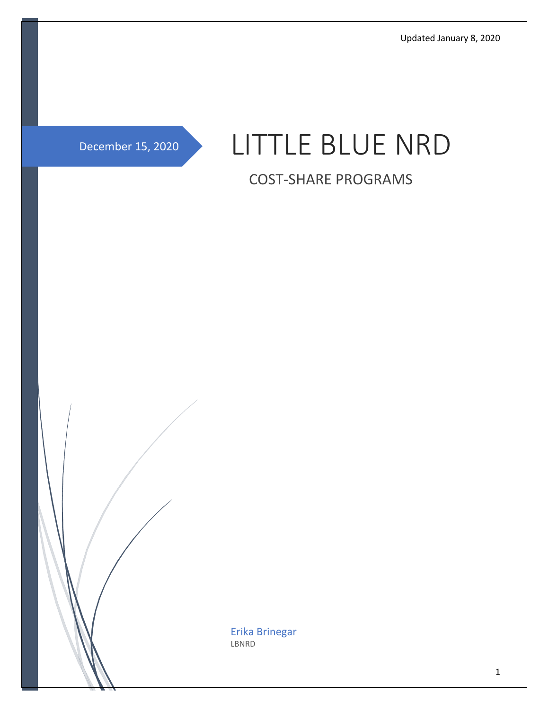Updated January 8, 2020

# December 15, 2020 LITTLE BLUE NRD

# COST-SHARE PROGRAMS

Erika Brinegar LBNRD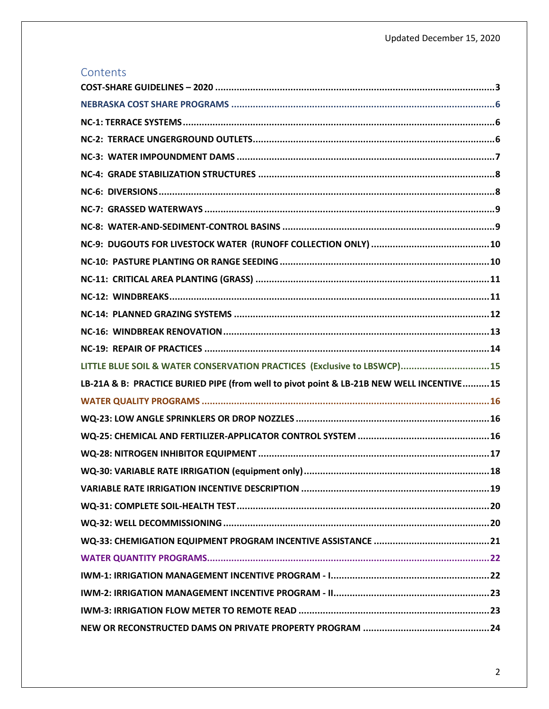### Contents

| LITTLE BLUE SOIL & WATER CONSERVATION PRACTICES (Exclusive to LBSWCP) 15                 |
|------------------------------------------------------------------------------------------|
| LB-21A & B: PRACTICE BURIED PIPE (from well to pivot point & LB-21B NEW WELL INCENTIVE15 |
|                                                                                          |
|                                                                                          |
|                                                                                          |
|                                                                                          |
|                                                                                          |
|                                                                                          |
|                                                                                          |
|                                                                                          |
|                                                                                          |
|                                                                                          |
|                                                                                          |
|                                                                                          |
|                                                                                          |
|                                                                                          |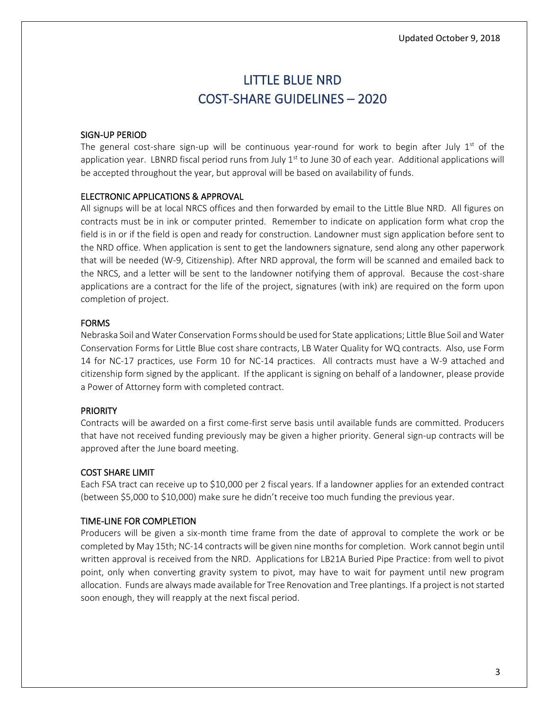# LITTLE BLUE NRD COST-SHARE GUIDELINES – 2020

#### <span id="page-2-0"></span>SIGN-UP PERIOD

The general cost-share sign-up will be continuous year-round for work to begin after July  $1<sup>st</sup>$  of the application year. LBNRD fiscal period runs from July  $1<sup>st</sup>$  to June 30 of each year. Additional applications will be accepted throughout the year, but approval will be based on availability of funds.

#### ELECTRONIC APPLICATIONS & APPROVAL

All signups will be at local NRCS offices and then forwarded by email to the Little Blue NRD. All figures on contracts must be in ink or computer printed. Remember to indicate on application form what crop the field is in or if the field is open and ready for construction. Landowner must sign application before sent to the NRD office. When application is sent to get the landowners signature, send along any other paperwork that will be needed (W-9, Citizenship). After NRD approval, the form will be scanned and emailed back to the NRCS, and a letter will be sent to the landowner notifying them of approval. Because the cost-share applications are a contract for the life of the project, signatures (with ink) are required on the form upon completion of project.

### FORMS

Nebraska Soil and Water Conservation Forms should be used for State applications; Little Blue Soil and Water Conservation Forms for Little Blue cost share contracts, LB Water Quality for WQ contracts. Also, use Form 14 for NC-17 practices, use Form 10 for NC-14 practices. All contracts must have a W-9 attached and citizenship form signed by the applicant. If the applicant is signing on behalf of a landowner, please provide a Power of Attorney form with completed contract.

### PRIORITY

Contracts will be awarded on a first come-first serve basis until available funds are committed. Producers that have not received funding previously may be given a higher priority. General sign-up contracts will be approved after the June board meeting.

### COST SHARE LIMIT

Each FSA tract can receive up to \$10,000 per 2 fiscal years. If a landowner applies for an extended contract (between \$5,000 to \$10,000) make sure he didn't receive too much funding the previous year.

### TIME-LINE FOR COMPLETION

Producers will be given a six-month time frame from the date of approval to complete the work or be completed by May 15th; NC-14 contracts will be given nine months for completion. Work cannot begin until written approval is received from the NRD. Applications for LB21A Buried Pipe Practice: from well to pivot point, only when converting gravity system to pivot, may have to wait for payment until new program allocation. Funds are always made available for Tree Renovation and Tree plantings. If a project is not started soon enough, they will reapply at the next fiscal period.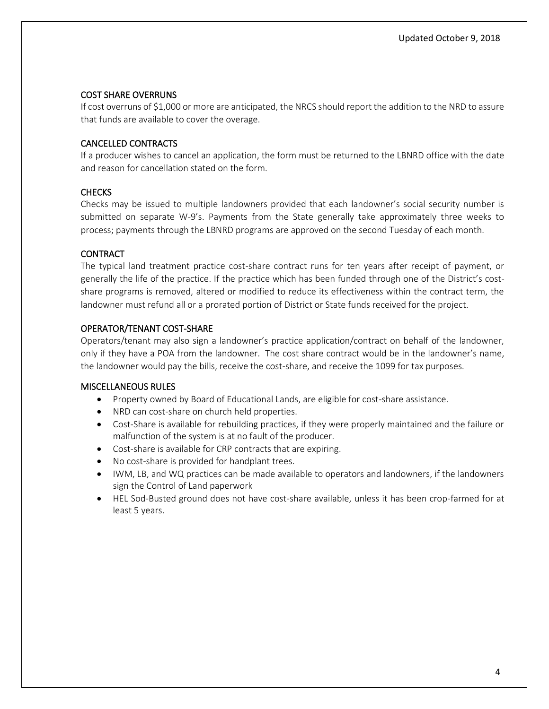#### COST SHARE OVERRUNS

If cost overruns of \$1,000 or more are anticipated, the NRCS should report the addition to the NRD to assure that funds are available to cover the overage.

#### CANCELLED CONTRACTS

If a producer wishes to cancel an application, the form must be returned to the LBNRD office with the date and reason for cancellation stated on the form.

#### **CHECKS**

Checks may be issued to multiple landowners provided that each landowner's social security number is submitted on separate W-9's. Payments from the State generally take approximately three weeks to process; payments through the LBNRD programs are approved on the second Tuesday of each month.

#### CONTRACT

The typical land treatment practice cost-share contract runs for ten years after receipt of payment, or generally the life of the practice. If the practice which has been funded through one of the District's costshare programs is removed, altered or modified to reduce its effectiveness within the contract term, the landowner must refund all or a prorated portion of District or State funds received for the project.

#### OPERATOR/TENANT COST-SHARE

Operators/tenant may also sign a landowner's practice application/contract on behalf of the landowner, only if they have a POA from the landowner. The cost share contract would be in the landowner's name, the landowner would pay the bills, receive the cost-share, and receive the 1099 for tax purposes.

#### MISCELLANEOUS RULES

- Property owned by Board of Educational Lands, are eligible for cost-share assistance.
- NRD can cost-share on church held properties.
- Cost-Share is available for rebuilding practices, if they were properly maintained and the failure or malfunction of the system is at no fault of the producer.
- Cost-share is available for CRP contracts that are expiring.
- No cost-share is provided for handplant trees.
- IWM, LB, and WQ practices can be made available to operators and landowners, if the landowners sign the Control of Land paperwork
- HEL Sod-Busted ground does not have cost-share available, unless it has been crop-farmed for at least 5 years.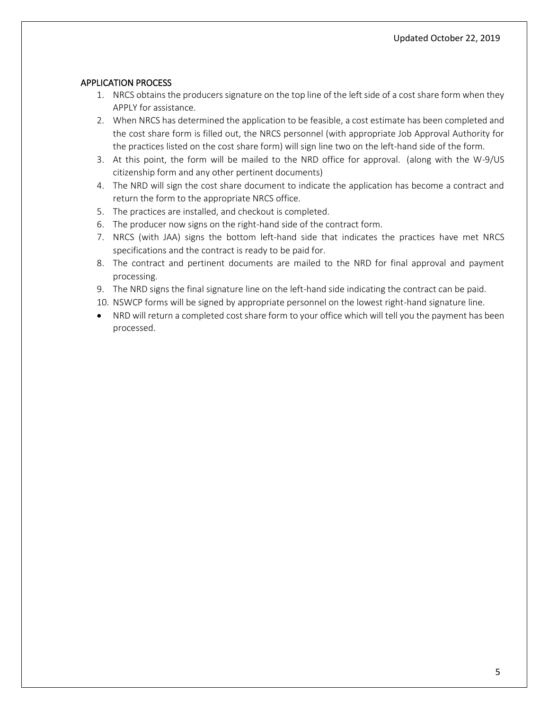#### APPLICATION PROCESS

- 1. NRCS obtains the producers signature on the top line of the left side of a cost share form when they APPLY for assistance.
- 2. When NRCS has determined the application to be feasible, a cost estimate has been completed and the cost share form is filled out, the NRCS personnel (with appropriate Job Approval Authority for the practices listed on the cost share form) will sign line two on the left-hand side of the form.
- 3. At this point, the form will be mailed to the NRD office for approval. (along with the W-9/US citizenship form and any other pertinent documents)
- 4. The NRD will sign the cost share document to indicate the application has become a contract and return the form to the appropriate NRCS office.
- 5. The practices are installed, and checkout is completed.
- 6. The producer now signs on the right-hand side of the contract form.
- 7. NRCS (with JAA) signs the bottom left-hand side that indicates the practices have met NRCS specifications and the contract is ready to be paid for.
- 8. The contract and pertinent documents are mailed to the NRD for final approval and payment processing.
- 9. The NRD signs the final signature line on the left-hand side indicating the contract can be paid.
- 10. NSWCP forms will be signed by appropriate personnel on the lowest right-hand signature line.
- NRD will return a completed cost share form to your office which will tell you the payment has been processed.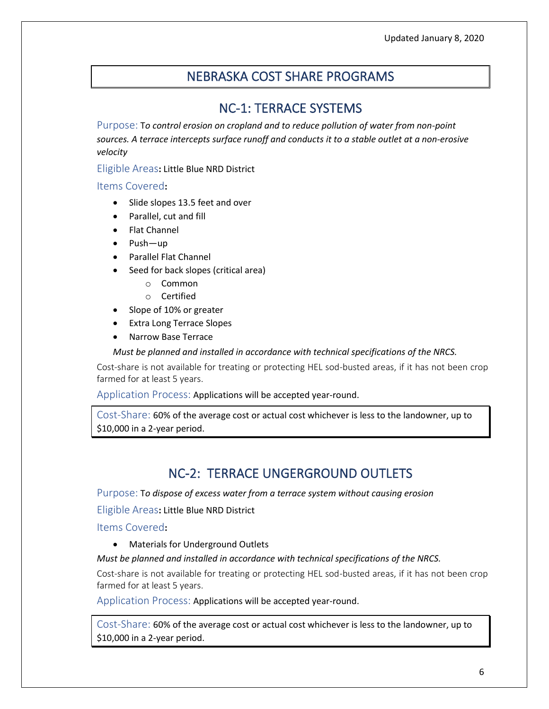# NEBRASKA COST SHARE PROGRAMS

### NC-1: TERRACE SYSTEMS

<span id="page-5-1"></span><span id="page-5-0"></span>Purpose: T*o control erosion on cropland and to reduce pollution of water from non-point sources. A terrace intercepts surface runoff and conducts it to a stable outlet at a non-erosive velocity*

Eligible Areas**:** Little Blue NRD District

Items Covered**:**

- Slide slopes 13.5 feet and over
- Parallel, cut and fill
- Flat Channel
- Push—up
- Parallel Flat Channel
- Seed for back slopes (critical area)
	- o Common
	- o Certified
- Slope of 10% or greater
- Extra Long Terrace Slopes
- Narrow Base Terrace

*Must be planned and installed in accordance with technical specifications of the NRCS.*

Cost-share is not available for treating or protecting HEL sod-busted areas, if it has not been crop farmed for at least 5 years.

Application Process: Applications will be accepted year-round.

Cost-Share: 60% of the average cost or actual cost whichever is less to the landowner, up to \$10,000 in a 2-year period.

# NC-2: TERRACE UNGERGROUND OUTLETS

<span id="page-5-2"></span>Purpose: T*o dispose of excess water from a terrace system without causing erosion*

Eligible Areas**:** Little Blue NRD District

Items Covered**:**

• Materials for Underground Outlets

### *Must be planned and installed in accordance with technical specifications of the NRCS.*

Cost-share is not available for treating or protecting HEL sod-busted areas, if it has not been crop farmed for at least 5 years.

Application Process: Applications will be accepted year-round.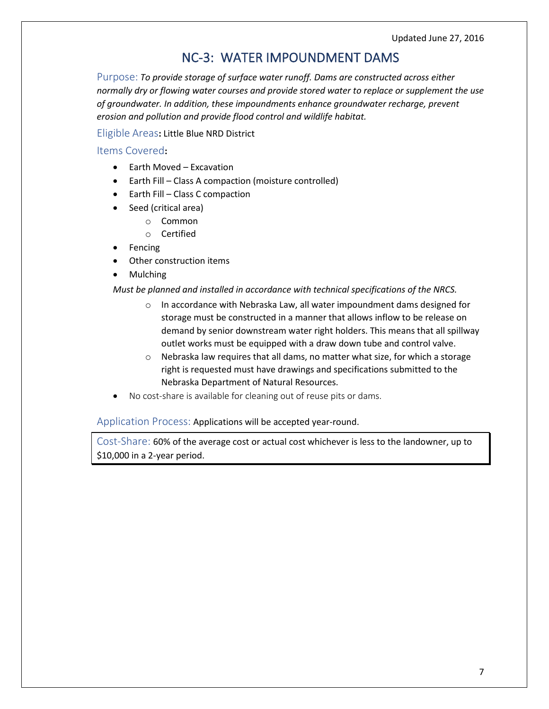# NC-3: WATER IMPOUNDMENT DAMS

<span id="page-6-0"></span>Purpose: *To provide storage of surface water runoff. Dams are constructed across either normally dry or flowing water courses and provide stored water to replace or supplement the use of groundwater. In addition, these impoundments enhance groundwater recharge, prevent erosion and pollution and provide flood control and wildlife habitat.*

#### Eligible Areas**:** Little Blue NRD District

#### Items Covered**:**

- Earth Moved Excavation
- Earth Fill Class A compaction (moisture controlled)
- Earth Fill Class C compaction
- Seed (critical area)
	- o Common
	- o Certified
- Fencing
- Other construction items
- Mulching

#### *Must be planned and installed in accordance with technical specifications of the NRCS.*

- $\circ$  In accordance with Nebraska Law, all water impoundment dams designed for storage must be constructed in a manner that allows inflow to be release on demand by senior downstream water right holders. This means that all spillway outlet works must be equipped with a draw down tube and control valve.
- o Nebraska law requires that all dams, no matter what size, for which a storage right is requested must have drawings and specifications submitted to the Nebraska Department of Natural Resources.
- No cost-share is available for cleaning out of reuse pits or dams.

Application Process: Applications will be accepted year-round.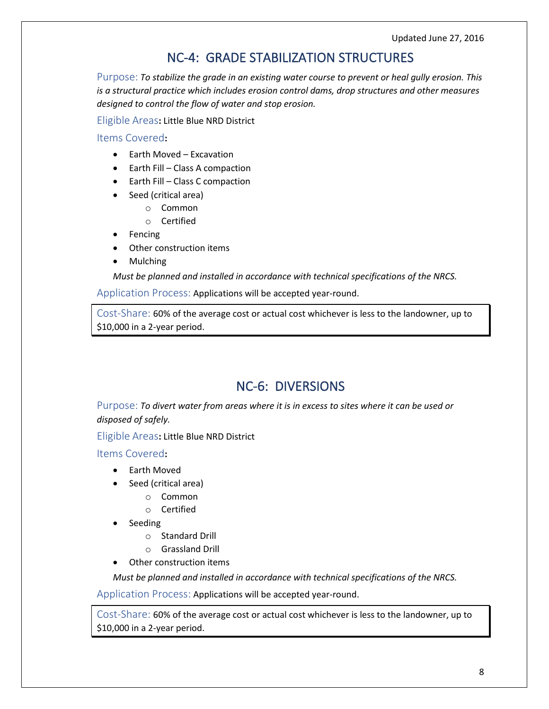# NC-4: GRADE STABILIZATION STRUCTURES

<span id="page-7-0"></span>Purpose: *To stabilize the grade in an existing water course to prevent or heal gully erosion. This is a structural practice which includes erosion control dams, drop structures and other measures designed to control the flow of water and stop erosion.*

Eligible Areas**:** Little Blue NRD District

Items Covered**:**

- Earth Moved Excavation
- Earth Fill Class A compaction
- Earth Fill Class C compaction
- Seed (critical area)
	- o Common
	- o Certified
- Fencing
- Other construction items
- Mulching

*Must be planned and installed in accordance with technical specifications of the NRCS.*

Application Process: Applications will be accepted year-round.

Cost-Share: 60% of the average cost or actual cost whichever is less to the landowner, up to \$10,000 in a 2-year period.

### NC-6: DIVERSIONS

<span id="page-7-1"></span>Purpose: *To divert water from areas where it is in excess to sites where it can be used or disposed of safely.*

Eligible Areas**:** Little Blue NRD District

### Items Covered**:**

- Earth Moved
- Seed (critical area)
	- o Common
	- o Certified
- Seeding
	- o Standard Drill
	- o Grassland Drill
- Other construction items

*Must be planned and installed in accordance with technical specifications of the NRCS.*

Application Process: Applications will be accepted year-round.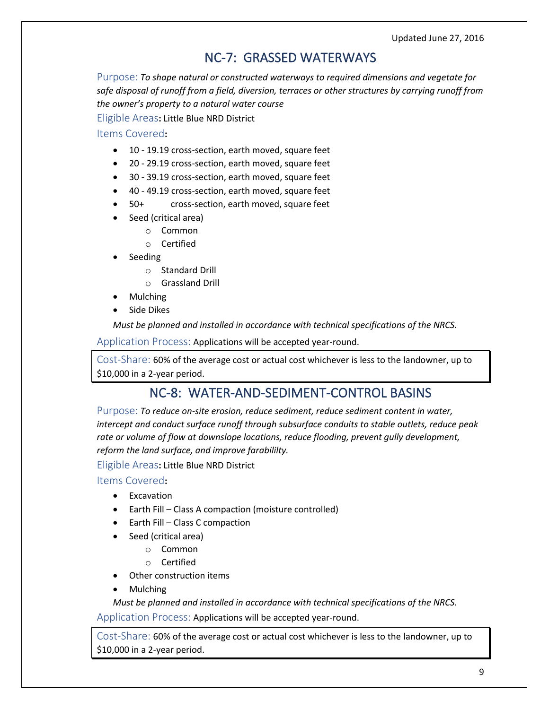Updated June 27, 2016

### NC-7: GRASSED WATERWAYS

<span id="page-8-0"></span>Purpose: *To shape natural or constructed waterways to required dimensions and vegetate for safe disposal of runoff from a field, diversion, terraces or other structures by carrying runoff from the owner's property to a natural water course*

Eligible Areas**:** Little Blue NRD District

### Items Covered**:**

- 10 19.19 cross-section, earth moved, square feet
- 20 29.19 cross-section, earth moved, square feet
- 30 39.19 cross-section, earth moved, square feet
- 40 49.19 cross-section, earth moved, square feet
- 50+ cross-section, earth moved, square feet
- Seed (critical area)
	- o Common
		- o Certified
- Seeding
	- o Standard Drill
	- o Grassland Drill
- Mulching
- Side Dikes

*Must be planned and installed in accordance with technical specifications of the NRCS.*

Application Process: Applications will be accepted year-round.

Cost-Share: 60% of the average cost or actual cost whichever is less to the landowner, up to \$10,000 in a 2-year period.

### NC-8: WATER-AND-SEDIMENT-CONTROL BASINS

<span id="page-8-1"></span>Purpose: *To reduce on-site erosion, reduce sediment, reduce sediment content in water, intercept and conduct surface runoff through subsurface conduits to stable outlets, reduce peak rate or volume of flow at downslope locations, reduce flooding, prevent gully development, reform the land surface, and improve farabililty.*

Eligible Areas**:** Little Blue NRD District

Items Covered**:**

- Excavation
- Earth Fill Class A compaction (moisture controlled)
- Earth Fill Class C compaction
- Seed (critical area)
	- o Common
	- o Certified
- Other construction items
- Mulching

*Must be planned and installed in accordance with technical specifications of the NRCS.*

Application Process: Applications will be accepted year-round.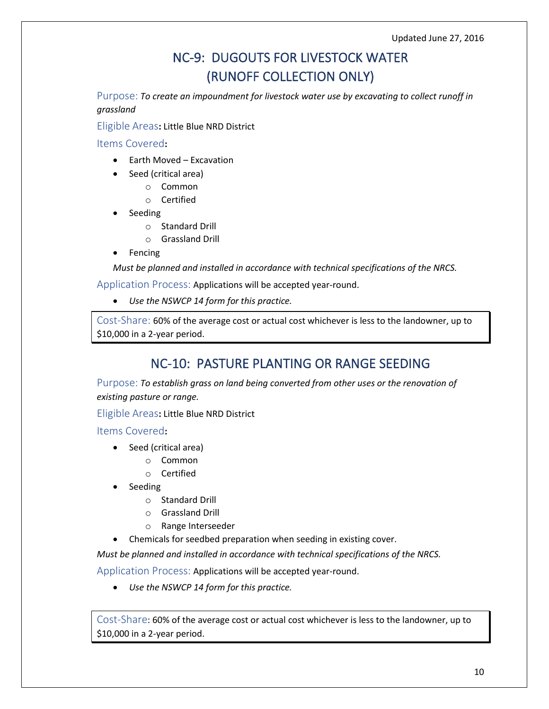# NC-9: DUGOUTS FOR LIVESTOCK WATER (RUNOFF COLLECTION ONLY)

<span id="page-9-0"></span>Purpose: *To create an impoundment for livestock water use by excavating to collect runoff in grassland*

Eligible Areas**:** Little Blue NRD District

Items Covered**:**

- Earth Moved Excavation
- Seed (critical area)
	- o Common
	- o Certified
- Seeding
	- o Standard Drill
	- o Grassland Drill
- Fencing

*Must be planned and installed in accordance with technical specifications of the NRCS.*

Application Process: Applications will be accepted year-round.

• *Use the NSWCP 14 form for this practice.*

Cost-Share: 60% of the average cost or actual cost whichever is less to the landowner, up to \$10,000 in a 2-year period.

# NC-10: PASTURE PLANTING OR RANGE SEEDING

<span id="page-9-1"></span>Purpose: *To establish grass on land being converted from other uses or the renovation of existing pasture or range.*

Eligible Areas**:** Little Blue NRD District

Items Covered**:**

- Seed (critical area)
	- o Common
	- o Certified
- Seeding
	- o Standard Drill
	- o Grassland Drill
	- o Range Interseeder
- Chemicals for seedbed preparation when seeding in existing cover.

*Must be planned and installed in accordance with technical specifications of the NRCS.*

Application Process: Applications will be accepted year-round.

• *Use the NSWCP 14 form for this practice.*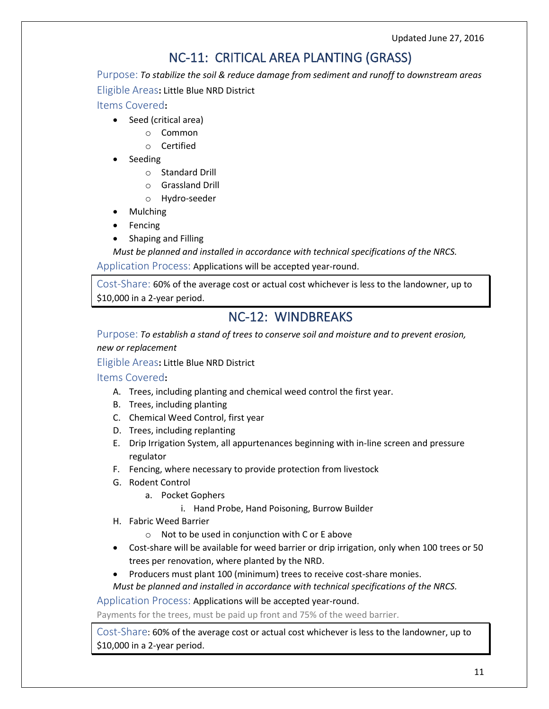Updated June 27, 2016

# NC-11: CRITICAL AREA PLANTING (GRASS)

<span id="page-10-0"></span>Purpose: *To stabilize the soil & reduce damage from sediment and runoff to downstream areas* Eligible Areas**:** Little Blue NRD District

Items Covered**:**

- Seed (critical area)
	- o Common
	- o Certified
- Seeding
	- o Standard Drill
	- o Grassland Drill
	- o Hydro-seeder
- Mulching
- Fencing
- Shaping and Filling

*Must be planned and installed in accordance with technical specifications of the NRCS.*

Application Process: Applications will be accepted year-round.

Cost-Share: 60% of the average cost or actual cost whichever is less to the landowner, up to \$10,000 in a 2-year period.

### NC-12: WINDBREAKS

<span id="page-10-1"></span>Purpose: *To establish a stand of trees to conserve soil and moisture and to prevent erosion, new or replacement*

Eligible Areas**:** Little Blue NRD District

### Items Covered**:**

- A. Trees, including planting and chemical weed control the first year.
- B. Trees, including planting
- C. Chemical Weed Control, first year
- D. Trees, including replanting
- E. Drip Irrigation System, all appurtenances beginning with in-line screen and pressure regulator
- F. Fencing, where necessary to provide protection from livestock
- G. Rodent Control
	- a. Pocket Gophers
		- i. Hand Probe, Hand Poisoning, Burrow Builder
- H. Fabric Weed Barrier
	- o Not to be used in conjunction with C or E above
- Cost-share will be available for weed barrier or drip irrigation, only when 100 trees or 50 trees per renovation, where planted by the NRD.
- Producers must plant 100 (minimum) trees to receive cost-share monies.
- *Must be planned and installed in accordance with technical specifications of the NRCS.*

Application Process: Applications will be accepted year-round.

Payments for the trees, must be paid up front and 75% of the weed barrier.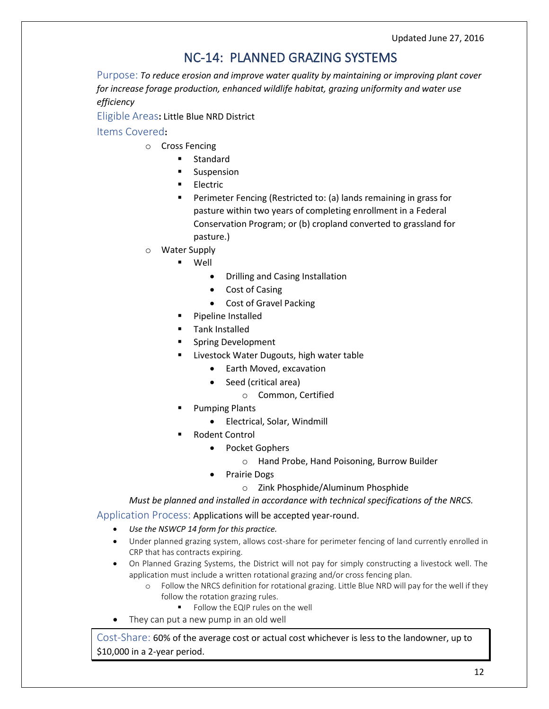# NC-14: PLANNED GRAZING SYSTEMS

<span id="page-11-0"></span>Purpose: *To reduce erosion and improve water quality by maintaining or improving plant cover for increase forage production, enhanced wildlife habitat, grazing uniformity and water use efficiency*

Eligible Areas**:** Little Blue NRD District

Items Covered**:**

- o Cross Fencing
	- Standard
	- Suspension
	- **Electric**
	- Perimeter Fencing (Restricted to: (a) lands remaining in grass for pasture within two years of completing enrollment in a Federal Conservation Program; or (b) cropland converted to grassland for pasture.)
- **Water Supply** 
	- **Well** 
		- Drilling and Casing Installation
		- Cost of Casing
		- Cost of Gravel Packing
	- Pipeline Installed
	- Tank Installed
	- Spring Development
	- Livestock Water Dugouts, high water table
		- Earth Moved, excavation
		- Seed (critical area)
			- o Common, Certified
	- **Pumping Plants** 
		- Electrical, Solar, Windmill
	- **Rodent Control** 
		- Pocket Gophers
			- o Hand Probe, Hand Poisoning, Burrow Builder
			- Prairie Dogs
				- o Zink Phosphide/Aluminum Phosphide

*Must be planned and installed in accordance with technical specifications of the NRCS.*

Application Process: Applications will be accepted year-round.

- *Use the NSWCP 14 form for this practice.*
- Under planned grazing system, allows cost-share for perimeter fencing of land currently enrolled in CRP that has contracts expiring.
- On Planned Grazing Systems, the District will not pay for simply constructing a livestock well. The application must include a written rotational grazing and/or cross fencing plan.
	- o Follow the NRCS definition for rotational grazing. Little Blue NRD will pay for the well if they follow the rotation grazing rules.
		- Follow the EQIP rules on the well
- They can put a new pump in an old well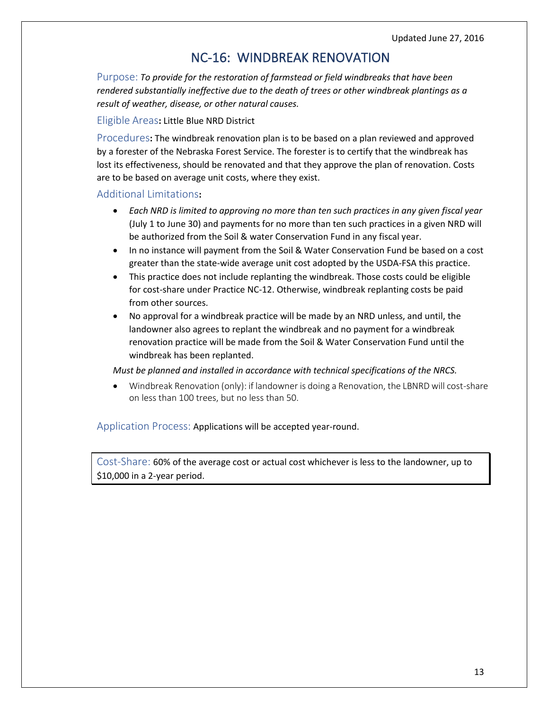### NC-16: WINDBREAK RENOVATION

<span id="page-12-0"></span>Purpose: *To provide for the restoration of farmstead or field windbreaks that have been rendered substantially ineffective due to the death of trees or other windbreak plantings as a result of weather, disease, or other natural causes.*

#### Eligible Areas**:** Little Blue NRD District

Procedures**:** The windbreak renovation plan is to be based on a plan reviewed and approved by a forester of the Nebraska Forest Service. The forester is to certify that the windbreak has lost its effectiveness, should be renovated and that they approve the plan of renovation. Costs are to be based on average unit costs, where they exist.

#### Additional Limitations**:**

- *Each NRD is limited to approving no more than ten such practices in any given fiscal year* (July 1 to June 30) and payments for no more than ten such practices in a given NRD will be authorized from the Soil & water Conservation Fund in any fiscal year.
- In no instance will payment from the Soil & Water Conservation Fund be based on a cost greater than the state-wide average unit cost adopted by the USDA-FSA this practice.
- This practice does not include replanting the windbreak. Those costs could be eligible for cost-share under Practice NC-12. Otherwise, windbreak replanting costs be paid from other sources.
- No approval for a windbreak practice will be made by an NRD unless, and until, the landowner also agrees to replant the windbreak and no payment for a windbreak renovation practice will be made from the Soil & Water Conservation Fund until the windbreak has been replanted.

#### *Must be planned and installed in accordance with technical specifications of the NRCS.*

• Windbreak Renovation (only): if landowner is doing a Renovation, the LBNRD will cost-share on less than 100 trees, but no less than 50.

### Application Process: Applications will be accepted year-round.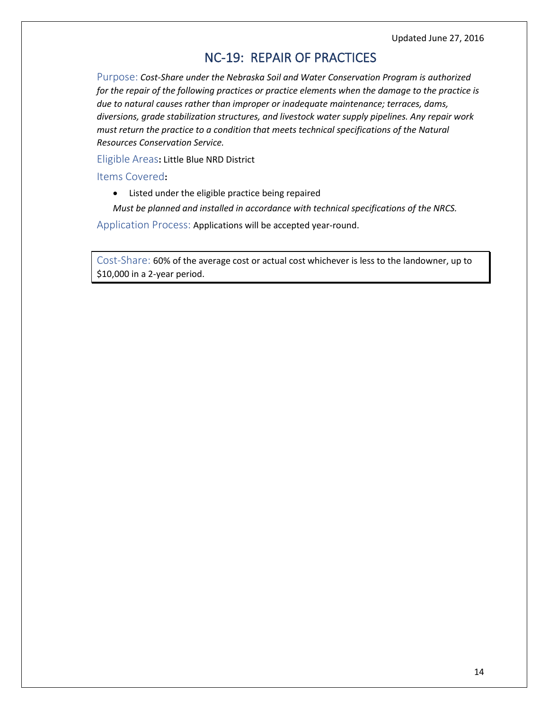Updated June 27, 2016

### NC-19: REPAIR OF PRACTICES

<span id="page-13-0"></span>Purpose: *Cost-Share under the Nebraska Soil and Water Conservation Program is authorized for the repair of the following practices or practice elements when the damage to the practice is due to natural causes rather than improper or inadequate maintenance; terraces, dams, diversions, grade stabilization structures, and livestock water supply pipelines. Any repair work must return the practice to a condition that meets technical specifications of the Natural Resources Conservation Service.*

Eligible Areas**:** Little Blue NRD District

Items Covered**:**

• Listed under the eligible practice being repaired

*Must be planned and installed in accordance with technical specifications of the NRCS.*

Application Process: Applications will be accepted year-round.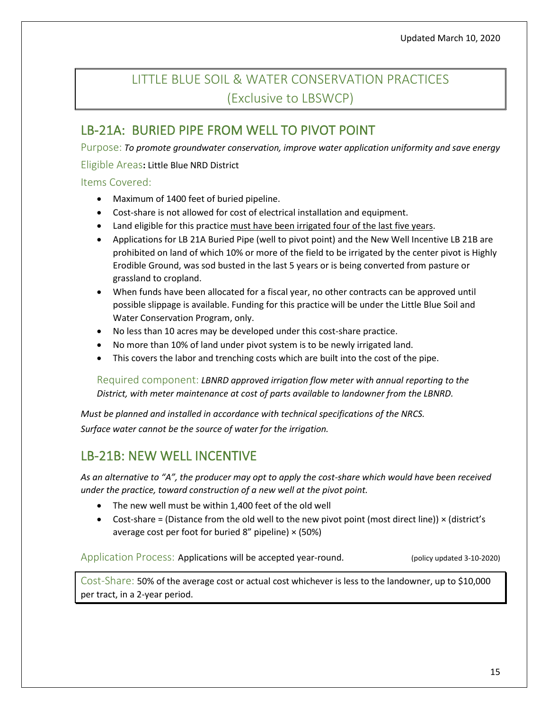# <span id="page-14-0"></span>LITTLE BLUE SOIL & WATER CONSERVATION PRACTICES (Exclusive to LBSWCP)

### <span id="page-14-1"></span>LB-21A: BURIED PIPE FROM WELL TO PIVOT POINT

Purpose: *To promote groundwater conservation, improve water application uniformity and save energy*

### Eligible Areas**:** Little Blue NRD District

### Items Covered:

- Maximum of 1400 feet of buried pipeline.
- Cost-share is not allowed for cost of electrical installation and equipment.
- Land eligible for this practice must have been irrigated four of the last five years.
- Applications for LB 21A Buried Pipe (well to pivot point) and the New Well Incentive LB 21B are prohibited on land of which 10% or more of the field to be irrigated by the center pivot is Highly Erodible Ground, was sod busted in the last 5 years or is being converted from pasture or grassland to cropland.
- When funds have been allocated for a fiscal year, no other contracts can be approved until possible slippage is available. Funding for this practice will be under the Little Blue Soil and Water Conservation Program, only.
- No less than 10 acres may be developed under this cost-share practice.
- No more than 10% of land under pivot system is to be newly irrigated land.
- This covers the labor and trenching costs which are built into the cost of the pipe.

Required component: *LBNRD approved irrigation flow meter with annual reporting to the District, with meter maintenance at cost of parts available to landowner from the LBNRD.* 

*Must be planned and installed in accordance with technical specifications of the NRCS. Surface water cannot be the source of water for the irrigation.*

# LB-21B: NEW WELL INCENTIVE

*As an alternative to "A", the producer may opt to apply the cost-share which would have been received under the practice, toward construction of a new well at the pivot point.*

- The new well must be within 1,400 feet of the old well
- Cost-share = (Distance from the old well to the new pivot point (most direct line))  $\times$  (district's average cost per foot for buried 8" pipeline)  $\times$  (50%)

Application Process: Applications will be accepted year-round. (policy updated 3-10-2020)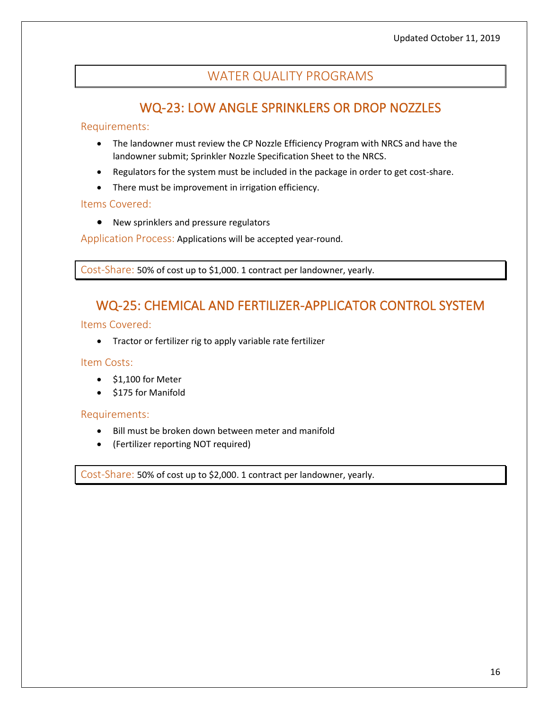### WATER QUALITY PROGRAMS

### WQ-23: LOW ANGLE SPRINKLERS OR DROP NOZZLES

#### <span id="page-15-1"></span><span id="page-15-0"></span>Requirements:

- The landowner must review the CP Nozzle Efficiency Program with NRCS and have the landowner submit; Sprinkler Nozzle Specification Sheet to the NRCS.
- Regulators for the system must be included in the package in order to get cost-share.
- There must be improvement in irrigation efficiency.

#### Items Covered:

• New sprinklers and pressure regulators

Application Process: Applications will be accepted year-round.

<span id="page-15-2"></span>Cost-Share: 50% of cost up to \$1,000. 1 contract per landowner, yearly.

### WQ-25: CHEMICAL AND FERTILIZER-APPLICATOR CONTROL SYSTEM

#### Items Covered:

• Tractor or fertilizer rig to apply variable rate fertilizer

#### Item Costs:

- \$1,100 for Meter
- \$175 for Manifold

#### Requirements:

- Bill must be broken down between meter and manifold
- (Fertilizer reporting NOT required)

Cost-Share: 50% of cost up to \$2,000. 1 contract per landowner, yearly.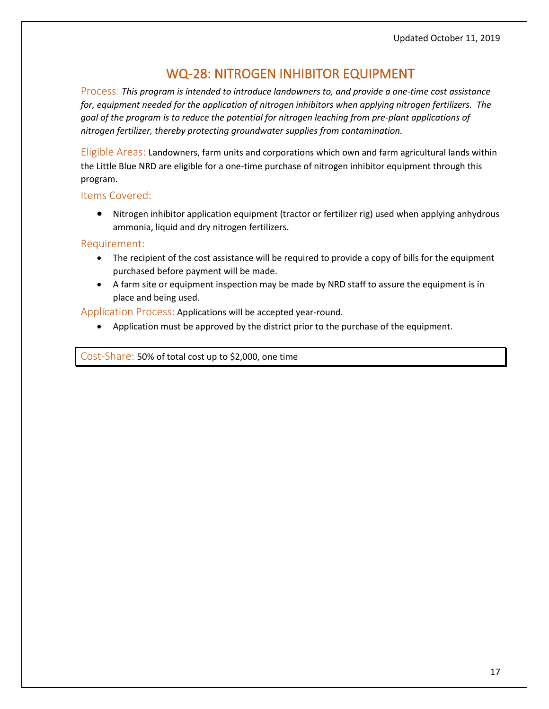### WQ-28: NITROGEN INHIBITOR EQUIPMENT

<span id="page-16-0"></span>Process: *This program is intended to introduce landowners to, and provide a one-time cost assistance for, equipment needed for the application of nitrogen inhibitors when applying nitrogen fertilizers. The goal of the program is to reduce the potential for nitrogen leaching from pre-plant applications of nitrogen fertilizer, thereby protecting groundwater supplies from contamination.*

Eligible Areas: Landowners, farm units and corporations which own and farm agricultural lands within the Little Blue NRD are eligible for a one-time purchase of nitrogen inhibitor equipment through this program.

#### Items Covered:

• Nitrogen inhibitor application equipment (tractor or fertilizer rig) used when applying anhydrous ammonia, liquid and dry nitrogen fertilizers.

#### Requirement:

- The recipient of the cost assistance will be required to provide a copy of bills for the equipment purchased before payment will be made.
- A farm site or equipment inspection may be made by NRD staff to assure the equipment is in place and being used.

Application Process: Applications will be accepted year-round.

• Application must be approved by the district prior to the purchase of the equipment.

Cost-Share: 50% of total cost up to \$2,000, one time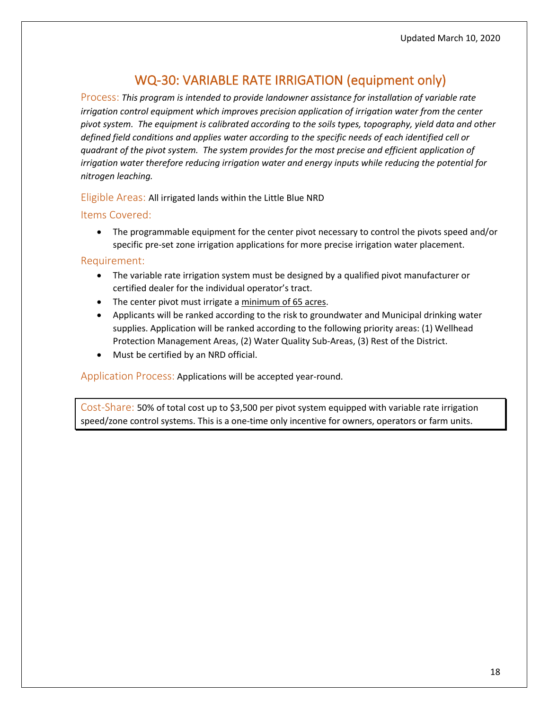# WQ-30: VARIABLE RATE IRRIGATION (equipment only)

<span id="page-17-0"></span>Process: *This program is intended to provide landowner assistance for installation of variable rate irrigation control equipment which improves precision application of irrigation water from the center pivot system. The equipment is calibrated according to the soils types, topography, yield data and other defined field conditions and applies water according to the specific needs of each identified cell or quadrant of the pivot system. The system provides for the most precise and efficient application of irrigation water therefore reducing irrigation water and energy inputs while reducing the potential for nitrogen leaching.*

### Eligible Areas: All irrigated lands within the Little Blue NRD

#### Items Covered:

• The programmable equipment for the center pivot necessary to control the pivots speed and/or specific pre-set zone irrigation applications for more precise irrigation water placement.

#### Requirement:

- The variable rate irrigation system must be designed by a qualified pivot manufacturer or certified dealer for the individual operator's tract.
- The center pivot must irrigate a minimum of 65 acres.
- Applicants will be ranked according to the risk to groundwater and Municipal drinking water supplies. Application will be ranked according to the following priority areas: (1) Wellhead Protection Management Areas, (2) Water Quality Sub-Areas, (3) Rest of the District.
- Must be certified by an NRD official.

Application Process: Applications will be accepted year-round.

Cost-Share: 50% of total cost up to \$3,500 per pivot system equipped with variable rate irrigation speed/zone control systems. This is a one-time only incentive for owners, operators or farm units.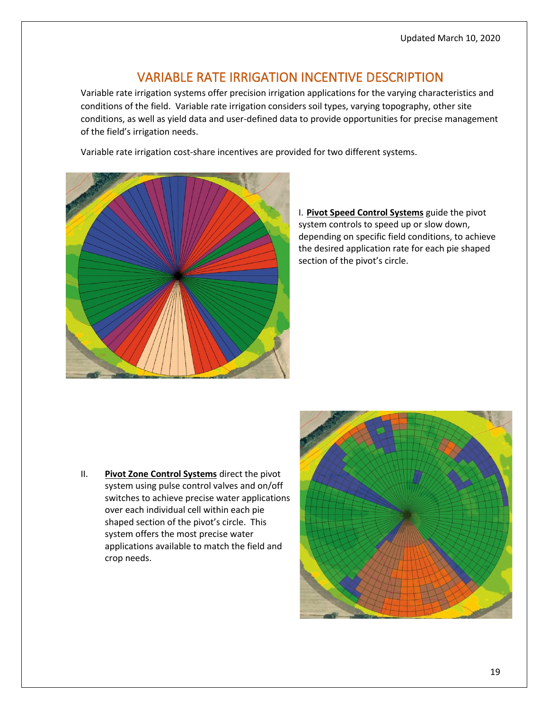### VARIABLE RATE IRRIGATION INCENTIVE DESCRIPTION

<span id="page-18-0"></span>Variable rate irrigation systems offer precision irrigation applications for the varying characteristics and conditions of the field. Variable rate irrigation considers soil types, varying topography, other site conditions, as well as yield data and user-defined data to provide opportunities for precise management of the field's irrigation needs.

Variable rate irrigation cost-share incentives are provided for two different systems.



### I. **Pivot Speed Control Systems** guide the pivot system controls to speed up or slow down, depending on specific field conditions, to achieve the desired application rate for each pie shaped section of the pivot's circle.

II. **Pivot Zone Control Systems** direct the pivot system using pulse control valves and on/off switches to achieve precise water applications over each individual cell within each pie shaped section of the pivot's circle. This system offers the most precise water applications available to match the field and crop needs.

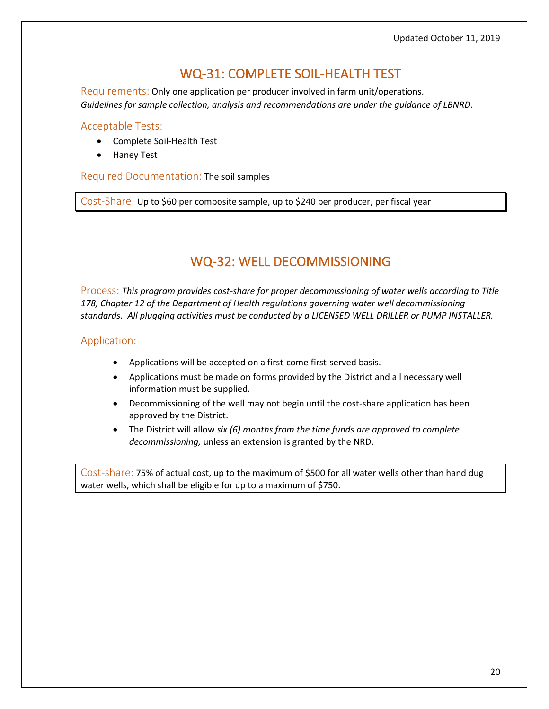# WQ-31: COMPLETE SOIL-HEALTH TEST

<span id="page-19-0"></span>Requirements: Only one application per producer involved in farm unit/operations. *Guidelines for sample collection, analysis and recommendations are under the guidance of LBNRD.* 

#### Acceptable Tests:

- Complete Soil-Health Test
- Haney Test

Required Documentation: The soil samples

<span id="page-19-1"></span>Cost-Share: Up to \$60 per composite sample, up to \$240 per producer, per fiscal year

# WQ-32: WELL DECOMMISSIONING

Process: *This program provides cost-share for proper decommissioning of water wells according to Title*  178, Chapter 12 of the Department of Health regulations governing water well decommissioning *standards. All plugging activities must be conducted by a LICENSED WELL DRILLER or PUMP INSTALLER.*

### Application:

- Applications will be accepted on a first-come first-served basis.
- Applications must be made on forms provided by the District and all necessary well information must be supplied.
- Decommissioning of the well may not begin until the cost-share application has been approved by the District.
- The District will allow *six (6) months from the time funds are approved to complete decommissioning,* unless an extension is granted by the NRD.

Cost-share: 75% of actual cost, up to the maximum of \$500 for all water wells other than hand dug water wells, which shall be eligible for up to a maximum of \$750.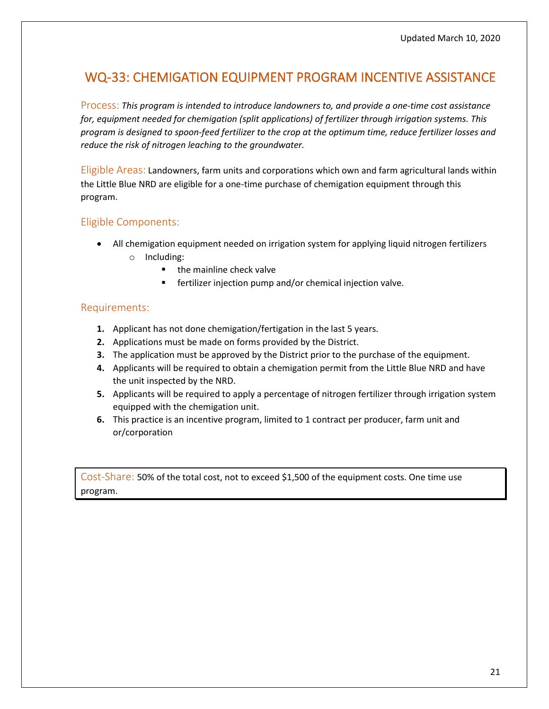### <span id="page-20-0"></span>WQ-33: CHEMIGATION EQUIPMENT PROGRAM INCENTIVE ASSISTANCE

Process: *This program is intended to introduce landowners to, and provide a one-time cost assistance for, equipment needed for chemigation (split applications) of fertilizer through irrigation systems. This program is designed to spoon-feed fertilizer to the crop at the optimum time, reduce fertilizer losses and reduce the risk of nitrogen leaching to the groundwater.*

Eligible Areas: Landowners, farm units and corporations which own and farm agricultural lands within the Little Blue NRD are eligible for a one-time purchase of chemigation equipment through this program.

### Eligible Components:

- All chemigation equipment needed on irrigation system for applying liquid nitrogen fertilizers o Including:
	- the mainline check valve
	- fertilizer injection pump and/or chemical injection valve.

### Requirements:

- **1.** Applicant has not done chemigation/fertigation in the last 5 years.
- **2.** Applications must be made on forms provided by the District.
- **3.** The application must be approved by the District prior to the purchase of the equipment.
- **4.** Applicants will be required to obtain a chemigation permit from the Little Blue NRD and have the unit inspected by the NRD.
- **5.** Applicants will be required to apply a percentage of nitrogen fertilizer through irrigation system equipped with the chemigation unit.
- **6.** This practice is an incentive program, limited to 1 contract per producer, farm unit and or/corporation

Cost-Share: 50% of the total cost, not to exceed \$1,500 of the equipment costs. One time use program.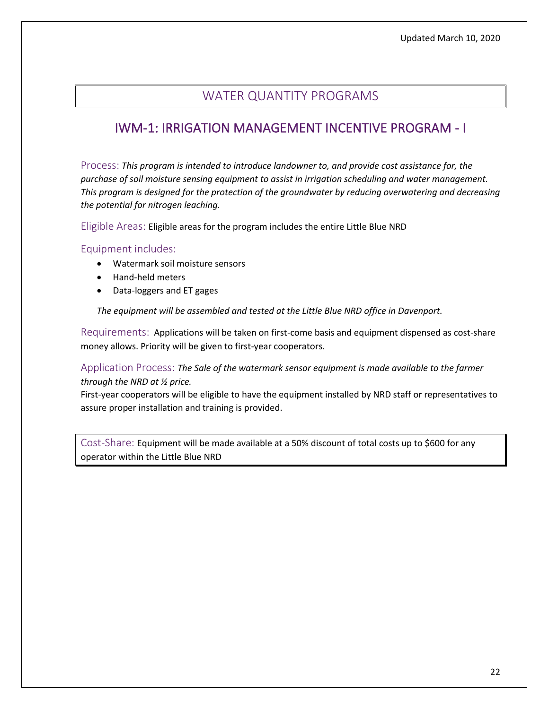### WATER QUANTITY PROGRAMS

### <span id="page-21-1"></span><span id="page-21-0"></span>IWM-1: IRRIGATION MANAGEMENT INCENTIVE PROGRAM - I

Process: *This program is intended to introduce landowner to, and provide cost assistance for, the purchase of soil moisture sensing equipment to assist in irrigation scheduling and water management. This program is designed for the protection of the groundwater by reducing overwatering and decreasing the potential for nitrogen leaching.* 

Eligible Areas: Eligible areas for the program includes the entire Little Blue NRD

### Equipment includes:

- Watermark soil moisture sensors
- Hand-held meters
- Data-loggers and ET gages

*The equipment will be assembled and tested at the Little Blue NRD office in Davenport.*

Requirements: Applications will be taken on first-come basis and equipment dispensed as cost-share money allows. Priority will be given to first-year cooperators.

Application Process: *The Sale of the watermark sensor equipment is made available to the farmer through the NRD at ½ price.* 

First-year cooperators will be eligible to have the equipment installed by NRD staff or representatives to assure proper installation and training is provided.

Cost-Share: Equipment will be made available at a 50% discount of total costs up to \$600 for any operator within the Little Blue NRD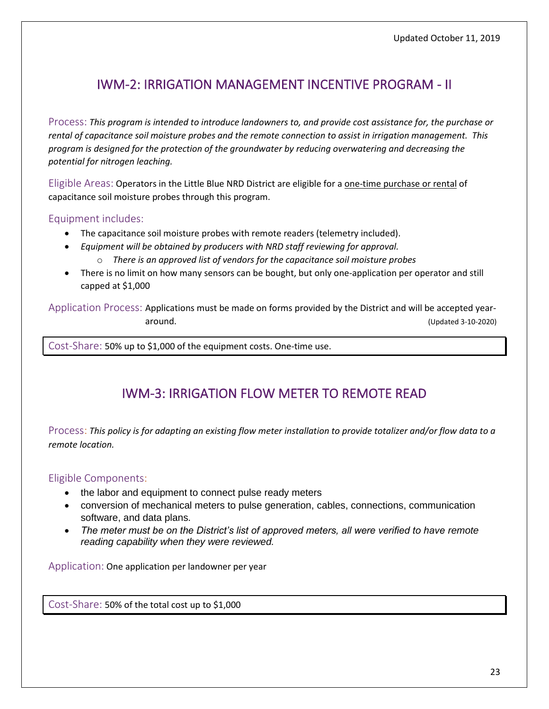# <span id="page-22-0"></span>IWM-2: IRRIGATION MANAGEMENT INCENTIVE PROGRAM - II

Process: *This program is intended to introduce landowners to, and provide cost assistance for, the purchase or rental of capacitance soil moisture probes and the remote connection to assist in irrigation management. This program is designed for the protection of the groundwater by reducing overwatering and decreasing the potential for nitrogen leaching.*

Eligible Areas: Operators in the Little Blue NRD District are eligible for a one-time purchase or rental of capacitance soil moisture probes through this program.

### Equipment includes:

- The capacitance soil moisture probes with remote readers (telemetry included).
- *Equipment will be obtained by producers with NRD staff reviewing for approval.*
	- o *There is an approved list of vendors for the capacitance soil moisture probes*
- There is no limit on how many sensors can be bought, but only one-application per operator and still capped at \$1,000

Application Process: Applications must be made on forms provided by the District and will be accepted yeararound. (Updated 3-10-2020)

<span id="page-22-1"></span>Cost-Share: 50% up to \$1,000 of the equipment costs. One-time use.

# IWM-3: IRRIGATION FLOW METER TO REMOTE READ

Process: *This policy is for adapting an existing flow meter installation to provide totalizer and/or flow data to a remote location.*

### Eligible Components:

- the labor and equipment to connect pulse ready meters
- conversion of mechanical meters to pulse generation, cables, connections, communication software, and data plans.
- *The meter must be on the District's list of approved meters, all were verified to have remote reading capability when they were reviewed.*

Application: One application per landowner per year

Cost-Share: 50% of the total cost up to \$1,000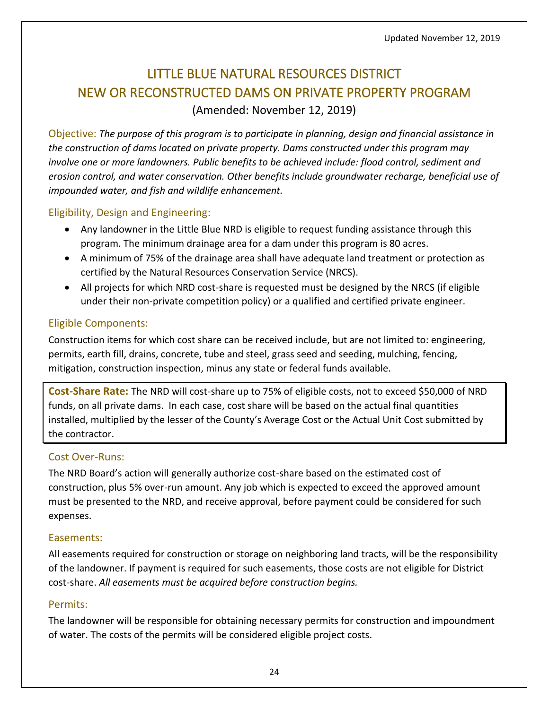# <span id="page-23-0"></span>LITTLE BLUE NATURAL RESOURCES DISTRICT NEW OR RECONSTRUCTED DAMS ON PRIVATE PROPERTY PROGRAM

(Amended: November 12, 2019)

Objective: *The purpose of this program is to participate in planning, design and financial assistance in the construction of dams located on private property. Dams constructed under this program may involve one or more landowners. Public benefits to be achieved include: flood control, sediment and erosion control, and water conservation. Other benefits include groundwater recharge, beneficial use of impounded water, and fish and wildlife enhancement.*

### Eligibility, Design and Engineering:

- Any landowner in the Little Blue NRD is eligible to request funding assistance through this program. The minimum drainage area for a dam under this program is 80 acres.
- A minimum of 75% of the drainage area shall have adequate land treatment or protection as certified by the Natural Resources Conservation Service (NRCS).
- All projects for which NRD cost-share is requested must be designed by the NRCS (if eligible under their non-private competition policy) or a qualified and certified private engineer.

### Eligible Components:

Construction items for which cost share can be received include, but are not limited to: engineering, permits, earth fill, drains, concrete, tube and steel, grass seed and seeding, mulching, fencing, mitigation, construction inspection, minus any state or federal funds available.

**Cost-Share Rate:** The NRD will cost-share up to 75% of eligible costs, not to exceed \$50,000 of NRD funds, on all private dams. In each case, cost share will be based on the actual final quantities installed, multiplied by the lesser of the County's Average Cost or the Actual Unit Cost submitted by the contractor.

### Cost Over-Runs:

The NRD Board's action will generally authorize cost-share based on the estimated cost of construction, plus 5% over-run amount. Any job which is expected to exceed the approved amount must be presented to the NRD, and receive approval, before payment could be considered for such expenses.

### Easements:

All easements required for construction or storage on neighboring land tracts, will be the responsibility of the landowner. If payment is required for such easements, those costs are not eligible for District cost-share. *All easements must be acquired before construction begins.*

### Permits:

The landowner will be responsible for obtaining necessary permits for construction and impoundment of water. The costs of the permits will be considered eligible project costs.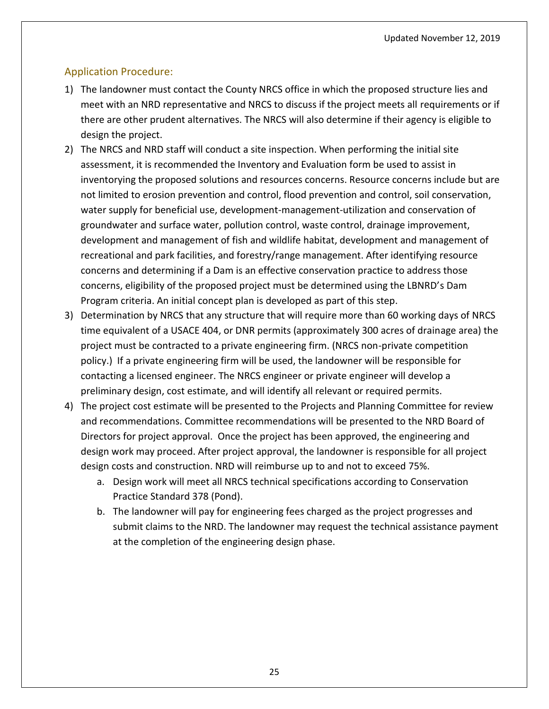### Application Procedure:

- 1) The landowner must contact the County NRCS office in which the proposed structure lies and meet with an NRD representative and NRCS to discuss if the project meets all requirements or if there are other prudent alternatives. The NRCS will also determine if their agency is eligible to design the project.
- 2) The NRCS and NRD staff will conduct a site inspection. When performing the initial site assessment, it is recommended the Inventory and Evaluation form be used to assist in inventorying the proposed solutions and resources concerns. Resource concerns include but are not limited to erosion prevention and control, flood prevention and control, soil conservation, water supply for beneficial use, development-management-utilization and conservation of groundwater and surface water, pollution control, waste control, drainage improvement, development and management of fish and wildlife habitat, development and management of recreational and park facilities, and forestry/range management. After identifying resource concerns and determining if a Dam is an effective conservation practice to address those concerns, eligibility of the proposed project must be determined using the LBNRD's Dam Program criteria. An initial concept plan is developed as part of this step.
- 3) Determination by NRCS that any structure that will require more than 60 working days of NRCS time equivalent of a USACE 404, or DNR permits (approximately 300 acres of drainage area) the project must be contracted to a private engineering firm. (NRCS non-private competition policy.) If a private engineering firm will be used, the landowner will be responsible for contacting a licensed engineer. The NRCS engineer or private engineer will develop a preliminary design, cost estimate, and will identify all relevant or required permits.
- 4) The project cost estimate will be presented to the Projects and Planning Committee for review and recommendations. Committee recommendations will be presented to the NRD Board of Directors for project approval. Once the project has been approved, the engineering and design work may proceed. After project approval, the landowner is responsible for all project design costs and construction. NRD will reimburse up to and not to exceed 75%.
	- a. Design work will meet all NRCS technical specifications according to Conservation Practice Standard 378 (Pond).
	- b. The landowner will pay for engineering fees charged as the project progresses and submit claims to the NRD. The landowner may request the technical assistance payment at the completion of the engineering design phase.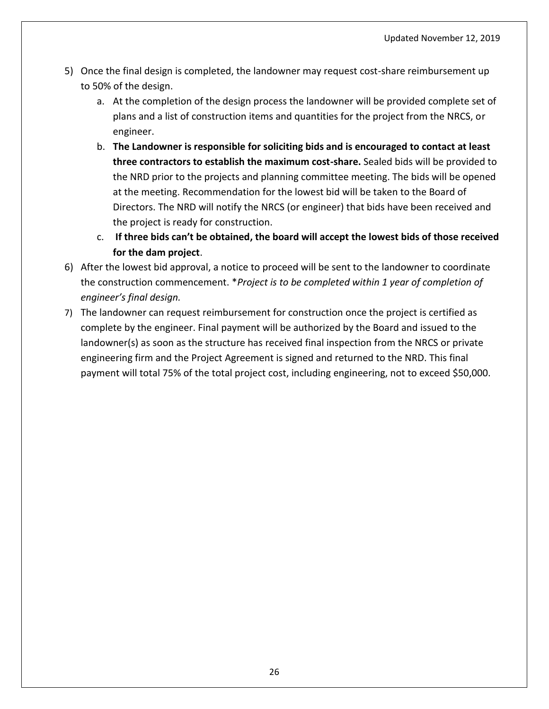- 5) Once the final design is completed, the landowner may request cost-share reimbursement up to 50% of the design.
	- a. At the completion of the design process the landowner will be provided complete set of plans and a list of construction items and quantities for the project from the NRCS, or engineer.
	- b. **The Landowner is responsible for soliciting bids and is encouraged to contact at least three contractors to establish the maximum cost-share.** Sealed bids will be provided to the NRD prior to the projects and planning committee meeting. The bids will be opened at the meeting. Recommendation for the lowest bid will be taken to the Board of Directors. The NRD will notify the NRCS (or engineer) that bids have been received and the project is ready for construction.
	- c. **If three bids can't be obtained, the board will accept the lowest bids of those received for the dam project**.
- 6) After the lowest bid approval, a notice to proceed will be sent to the landowner to coordinate the construction commencement. \**Project is to be completed within 1 year of completion of engineer's final design.*
- 7) The landowner can request reimbursement for construction once the project is certified as complete by the engineer. Final payment will be authorized by the Board and issued to the landowner(s) as soon as the structure has received final inspection from the NRCS or private engineering firm and the Project Agreement is signed and returned to the NRD. This final payment will total 75% of the total project cost, including engineering, not to exceed \$50,000.